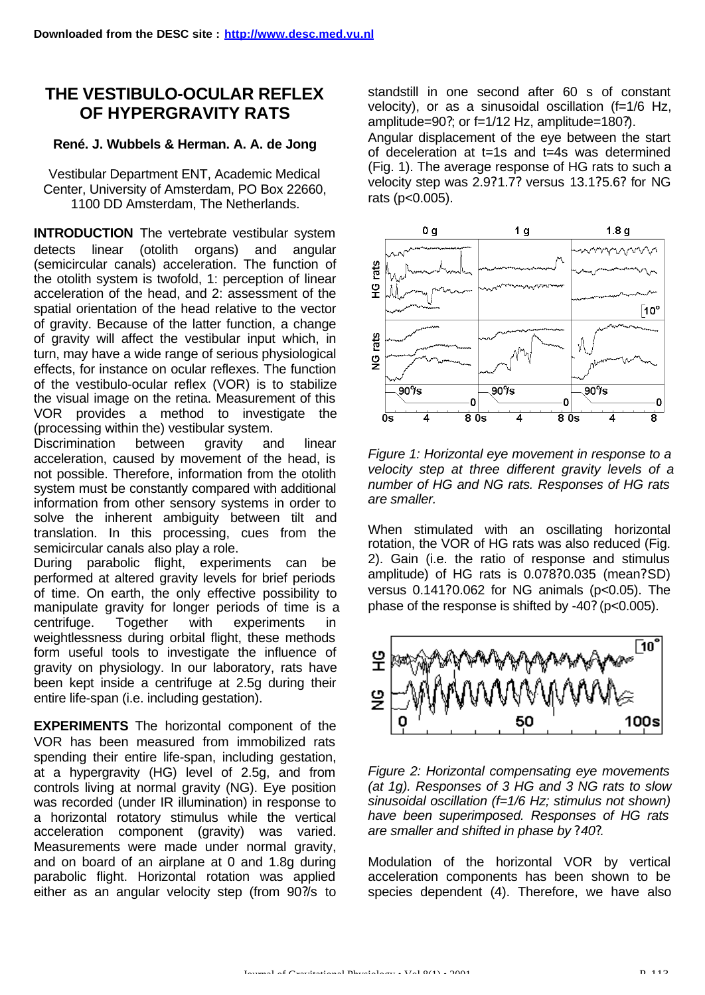## **THE VESTIBULO-OCULAR REFLEX OF HYPERGRAVITY RATS**

## **René. J. Wubbels & Herman. A. A. de Jong**

Vestibular Department ENT, Academic Medical Center, University of Amsterdam, PO Box 22660, 1100 DD Amsterdam, The Netherlands.

**INTRODUCTION** The vertebrate vestibular system detects linear (otolith organs) and angular (semicircular canals) acceleration. The function of the otolith system is twofold, 1: perception of linear acceleration of the head, and 2: assessment of the spatial orientation of the head relative to the vector of gravity. Because of the latter function, a change of gravity will affect the vestibular input which, in turn, may have a wide range of serious physiological effects, for instance on ocular reflexes. The function of the vestibulo-ocular reflex (VOR) is to stabilize the visual image on the retina. Measurement of this VOR provides a method to investigate the (processing within the) vestibular system.

Discrimination between gravity and linear acceleration, caused by movement of the head, is not possible. Therefore, information from the otolith system must be constantly compared with additional information from other sensory systems in order to solve the inherent ambiguity between tilt and translation. In this processing, cues from the semicircular canals also play a role.

During parabolic flight, experiments can be performed at altered gravity levels for brief periods of time. On earth, the only effective possibility to manipulate gravity for longer periods of time is a centrifuge. Together with experiments in weightlessness during orbital flight, these methods form useful tools to investigate the influence of gravity on physiology. In our laboratory, rats have been kept inside a centrifuge at 2.5g during their entire life-span (i.e. including gestation).

**EXPERIMENTS** The horizontal component of the VOR has been measured from immobilized rats spending their entire life-span, including gestation, at a hypergravity (HG) level of 2.5g, and from controls living at normal gravity (NG). Eye position was recorded (under IR illumination) in response to a horizontal rotatory stimulus while the vertical acceleration component (gravity) was varied. Measurements were made under normal gravity, and on board of an airplane at 0 and 1.8g during parabolic flight. Horizontal rotation was applied either as an angular velocity step (from 90?/s to

standstill in one second after 60 s of constant velocity), or as a sinusoidal oscillation (f=1/6 Hz, amplitude=90?; or f=1/12 Hz, amplitude=180?). Angular displacement of the eye between the start

of deceleration at t=1s and t=4s was determined (Fig. 1). The average response of HG rats to such a velocity step was 2.9?1.7? versus 13.1?5.6? for NG rats (p<0.005).



*Figure 1: Horizontal eye movement in response to a velocity step at three different gravity levels of a number of HG and NG rats. Responses of HG rats are smaller.*

When stimulated with an oscillating horizontal rotation, the VOR of HG rats was also reduced (Fig. 2). Gain (i.e. the ratio of response and stimulus amplitude) of HG rats is 0.078?0.035 (mean?SD) versus 0.141?0.062 for NG animals (p<0.05). The phase of the response is shifted by -40? (p<0.005).



*Figure 2: Horizontal compensating eye movements (at 1g). Responses of 3 HG and 3 NG rats to slow sinusoidal oscillation (f=1/6 Hz; stimulus not shown) have been superimposed. Responses of HG rats are smaller and shifted in phase by ?40?.*

Modulation of the horizontal VOR by vertical acceleration components has been shown to be species dependent (4). Therefore, we have also